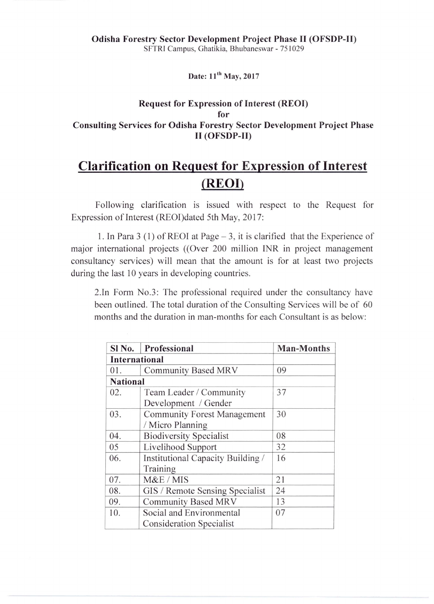Date: 11<sup>th</sup> May, 2017

## Request for Expression of Interest (REOI) for Consulting Services for Odisha Forestry Sector Development Project Phase II (OFSDP-II)

## **Clarification on Request for Expression of Interest (REOI)**

Following clarification is issued with respect to the Request for Expression of Interest (REOI)dated 5th May, 2017:

1. In Para 3 (1) of REOI at Page  $-3$ , it is clarified that the Experience of major international projects ((Over 200 million INR in project management consultancy services) will mean that the amount is for at least two projects during the last 10 years in developing countries.

2.In Form No.3: The professional required under the consultancy have been outlined. The total duration of the Consulting Services will be of 60 months and the duration in man-months for each Consultant is as below:

| Sl No.               | Professional                       | <b>Man-Months</b> |
|----------------------|------------------------------------|-------------------|
| <b>International</b> |                                    |                   |
| 01.                  | <b>Community Based MRV</b>         | 09                |
| <b>National</b>      |                                    |                   |
| 02.                  | Team Leader / Community            | 37                |
|                      | Development / Gender               |                   |
| 03.                  | <b>Community Forest Management</b> | 30                |
|                      | / Micro Planning                   |                   |
| 04.                  | <b>Biodiversity Specialist</b>     | 08                |
| 05                   | Livelihood Support                 | 32                |
| 06.                  | Institutional Capacity Building /  | 16                |
|                      | Training                           |                   |
| 07.                  | M&E / MIS                          | 21                |
| 08.                  | GIS / Remote Sensing Specialist    | 24                |
| 09.                  | <b>Community Based MRV</b>         | 13                |
| 10.                  | Social and Environmental           | 07                |
|                      | <b>Consideration Specialist</b>    |                   |